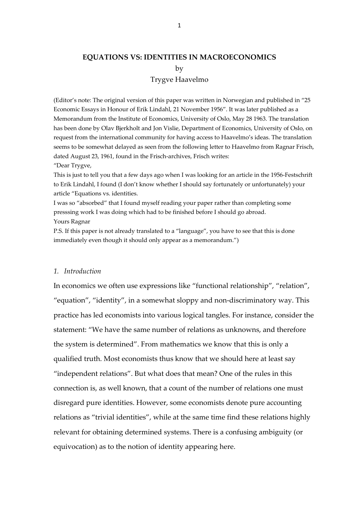# **EQUATIONS VS: IDENTITIES IN MACROECONOMICS** by Trygve Haavelmo

(Editor's note: The original version of this paper was written in Norwegian and published in "25 Economic Essays in Honour of Erik Lindahl, 21 November 1956". It was later published as a Memorandum from the Institute of Economics, University of Oslo, May 28 1963. The translation has been done by Olav Bjerkholt and Jon Vislie, Department of Economics, University of Oslo, on request from the international community for having access to Haavelmo's ideas. The translation seems to be somewhat delayed as seen from the following letter to Haavelmo from Ragnar Frisch, dated August 23, 1961, found in the Frisch-archives, Frisch writes:

"Dear Trygve,

This is just to tell you that a few days ago when I was looking for an article in the 1956‐Festschrift to Erik Lindahl, I found (I don't know whether I should say fortunately or unfortunately) your article "Equations vs. identities.

I was so "absorbed" that I found myself reading your paper rather than completing some presssing work I was doing which had to be finished before I should go abroad. Yours Ragnar

P.S. If this paper is not already translated to a "language", you have to see that this is done immediately even though it should only appear as a memorandum.")

#### *1. Introduction*

In economics we often use expressions like "functional relationship", "relation", "equation", "identity", in a somewhat sloppy and non‐discriminatory way. This practice has led economists into various logical tangles. For instance, consider the statement: "We have the same number of relations as unknowns, and therefore the system is determined". From mathematics we know that this is only a qualified truth. Most economists thus know that we should here at least say "independent relations". But what does that mean? One of the rules in this connection is, as well known, that a count of the number of relations one must disregard pure identities. However, some economists denote pure accounting relations as "trivial identities", while at the same time find these relations highly relevant for obtaining determined systems. There is a confusing ambiguity (or equivocation) as to the notion of identity appearing here.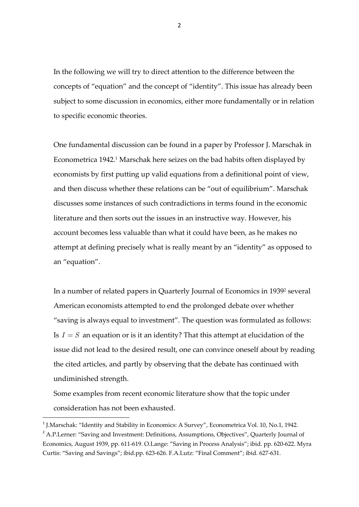In the following we will try to direct attention to the difference between the concepts of "equation" and the concept of "identity". This issue has already been subject to some discussion in economics, either more fundamentally or in relation to specific economic theories.

One fundamental discussion can be found in a paper by Professor J. Marschak in Econometrica 1942.<sup>1</sup> Marschak here seizes on the bad habits often displayed by economists by first putting up valid equations from a definitional point of view, and then discuss whether these relations can be "out of equilibrium". Marschak discusses some instances of such contradictions in terms found in the economic literature and then sorts out the issues in an instructive way. However, his account becomes less valuable than what it could have been, as he makes no attempt at defining precisely what is really meant by an "identity" as opposed to an "equation".

In a number of related papers in Quarterly Journal of Economics in 19392 several American economists attempted to end the prolonged debate over whether "saving is always equal to investment". The question was formulated as follows: Is  $I = S$  an equation or is it an identity? That this attempt at elucidation of the issue did not lead to the desired result, one can convince oneself about by reading the cited articles, and partly by observing that the debate has continued with undiminished strength.

Some examples from recent economic literature show that the topic under consideration has not been exhausted.

<sup>&</sup>lt;sup>1</sup> J.Marschak: "Identity and Stability in Economics: A Survey", Econometrica Vol. 10, No.1, 1942. <sup>2</sup> A.P. Lerner: "Saving and Investment: Definitions, Assumptions, Objectives", Quarterly Journal of Economics, August 1939, pp. 611‐619. O.Lange: "Saving in Process Analysis"; ibid. pp. 620‐622. Myra Curtis: "Saving and Savings"; ibid.pp. 623‐626. F.A.Lutz: "Final Comment"; ibid. 627‐631.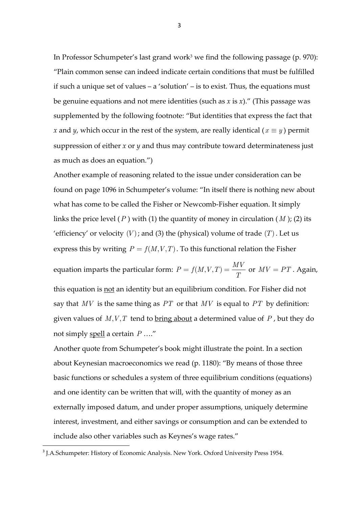In Professor Schumpeter's last grand work<sup>3</sup> we find the following passage (p. 970): "Plain common sense can indeed indicate certain conditions that must be fulfilled if such a unique set of values – a 'solution' – is to exist. Thus, the equations must be genuine equations and not mere identities (such as *x* is *x*)." (This passage was supplemented by the following footnote: "But identities that express the fact that *x* and *y*, which occur in the rest of the system, are really identical ( $x \equiv y$ ) permit suppression of either *x* or *y* and thus may contribute toward determinateness just as much as does an equation.")

Another example of reasoning related to the issue under consideration can be found on page 1096 in Schumpeter's volume: "In itself there is nothing new about what has come to be called the Fisher or Newcomb-Fisher equation. It simply links the price level  $(P)$  with  $(1)$  the quantity of money in circulation  $(M)$ ;  $(2)$  its 'efficiency' or velocity  $(V)$ ; and (3) the (physical) volume of trade  $(T)$ . Let us express this by writing  $P = f(M, V, T)$ . To this functional relation the Fisher

equation imparts the particular form:  $P = f(M, V, T) = \frac{MV}{T}$  or  $MV = PT$ . Again, this equation is not an identity but an equilibrium condition. For Fisher did not say that *MV* is the same thing as *PT* or that *MV* is equal to *PT* by definition: given values of  $M, V, T$  tend to <u>bring about</u> a determined value of  $P$ , but they do not simply spell a certain *P* …."

Another quote from Schumpeter's book might illustrate the point. In a section about Keynesian macroeconomics we read (p. 1180): "By means of those three basic functions or schedules a system of three equilibrium conditions (equations) and one identity can be written that will, with the quantity of money as an externally imposed datum, and under proper assumptions, uniquely determine interest, investment, and either savings or consumption and can be extended to include also other variables such as Keynes's wage rates."

<sup>&</sup>lt;sup>3</sup> J.A.Schumpeter: History of Economic Analysis. New York. Oxford University Press 1954.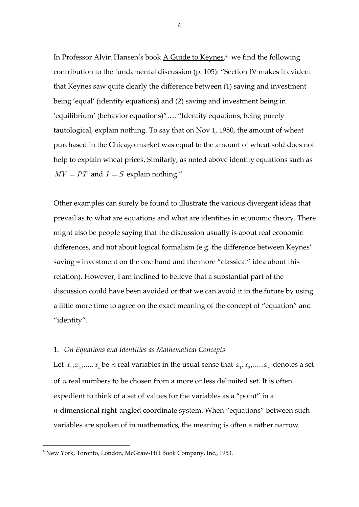In Professor Alvin Hansen's book A Guide to Keynes,<sup>4</sup> we find the following contribution to the fundamental discussion (p. 105): "Section IV makes it evident that Keynes saw quite clearly the difference between (1) saving and investment being 'equal' (identity equations) and (2) saving and investment being in 'equilibrium' (behavior equations)"…. "Identity equations, being purely tautological, explain nothing. To say that on Nov 1, 1950, the amount of wheat purchased in the Chicago market was equal to the amount of wheat sold does not help to explain wheat prices. Similarly, as noted above identity equations such as  $MV = PT$  and  $I = S$  explain nothing."

Other examples can surely be found to illustrate the various divergent ideas that prevail as to what are equations and what are identities in economic theory. There might also be people saying that the discussion usually is about real economic differences, and not about logical formalism (e.g. the difference between Keynes' saving = investment on the one hand and the more "classical" idea about this relation). However, I am inclined to believe that a substantial part of the discussion could have been avoided or that we can avoid it in the future by using a little more time to agree on the exact meaning of the concept of "equation" and "identity".

## 1. *On Equations and Identities as Mathematical Concepts*

Let  $x_1, x_2, \ldots, x_n$  be *n* real variables in the usual sense that  $x_1, x_2, \ldots, x_n$  denotes a set of *n* real numbers to be chosen from a more or less delimited set. It is often expedient to think of a set of values for the variables as a "point" in a *n*-dimensional right-angled coordinate system. When "equations" between such variables are spoken of in mathematics, the meaning is often a rather narrow

<sup>4</sup> New York, Toronto, London, McGraw‐Hill Book Company, Inc., 1953.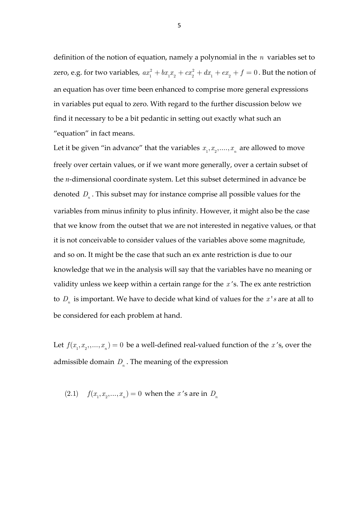definition of the notion of equation, namely a polynomial in the *n* variables set to zero, e.g. for two variables,  $ax_1^2 + bx_1x_2 + cx_2^2 + dx_1 + ex_2 + f = 0$ . But the notion of an equation has over time been enhanced to comprise more general expressions in variables put equal to zero. With regard to the further discussion below we find it necessary to be a bit pedantic in setting out exactly what such an "equation" in fact means.

Let it be given "in advance" that the variables  $x_1, x_2, \ldots, x_n$  are allowed to move freely over certain values, or if we want more generally, over a certain subset of the *n*-dimensional coordinate system. Let this subset determined in advance be denoted *D<sub>n</sub>*. This subset may for instance comprise all possible values for the variables from minus infinity to plus infinity. However, it might also be the case that we know from the outset that we are not interested in negative values, or that it is not conceivable to consider values of the variables above some magnitude, and so on. It might be the case that such an ex ante restriction is due to our knowledge that we in the analysis will say that the variables have no meaning or validity unless we keep within a certain range for the *x* 's. The ex ante restriction to  $D_n$  is important. We have to decide what kind of values for the  $x<sup>t</sup> s$  are at all to be considered for each problem at hand.

Let  $f(x_1, x_2, ..., x_n) = 0$  be a well-defined real-valued function of the *x*'s, over the admissible domain  $D_n$ . The meaning of the expression

(2.1) 
$$
f(x_1, x_2,...,x_n) = 0
$$
 when the *x*'s are in *D<sub>n</sub>*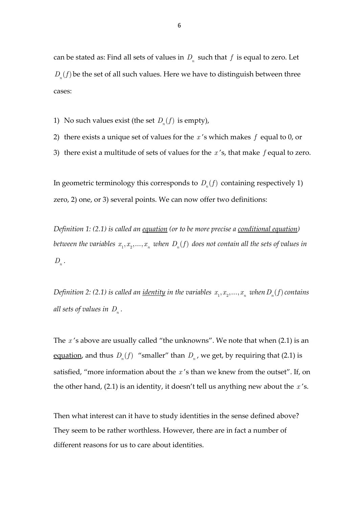can be stated as: Find all sets of values in  $D_n$  such that  $f$  is equal to zero. Let  $D_n(f)$  be the set of all such values. Here we have to distinguish between three cases:

- 1) No such values exist (the set  $D_n(f)$  is empty),
- 2) there exists a unique set of values for the *x* 's which makes *f* equal to 0, or
- 3) there exist a multitude of sets of values for the *x* 's, that make *f* equal to zero.

In geometric terminology this corresponds to  $D_n(f)$  containing respectively 1) zero, 2) one, or 3) several points. We can now offer two definitions:

*Definition 1: (2.1) is called an equation (or to be more precise a conditional equation) between the variables*  $x_1, x_2, ..., x_n$  *when*  $D_n(f)$  *does not contain all the sets of values in*  $D_n$ .

*Definition* 2: (2.1) *is called an <u>identity</u> in the variables*  $x_1, x_2, ..., x_n$  *when*  $D_n(f)$  *contains all sets of values in*  $D_n$ .

The *x* 's above are usually called "the unknowns". We note that when (2.1) is an equation, and thus  $D_n(f)$  "smaller" than  $D_n$ , we get, by requiring that (2.1) is satisfied, "more information about the *x* 's than we knew from the outset". If, on the other hand, (2.1) is an identity, it doesn't tell us anything new about the *x* 's.

Then what interest can it have to study identities in the sense defined above? They seem to be rather worthless. However, there are in fact a number of different reasons for us to care about identities.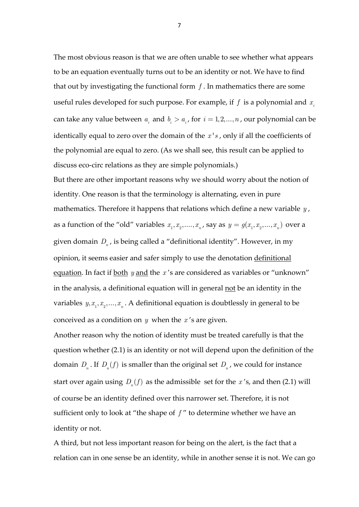The most obvious reason is that we are often unable to see whether what appears to be an equation eventually turns out to be an identity or not. We have to find that out by investigating the functional form *f* . In mathematics there are some useful rules developed for such purpose. For example, if  $f$  is a polynomial and  $x_i$ can take any value between  $a_i$  and  $b_i > a_i$ , for  $i = 1, 2, ..., n$ , our polynomial can be identically equal to zero over the domain of the *x's*, only if all the coefficients of the polynomial are equal to zero. (As we shall see, this result can be applied to discuss eco-circ relations as they are simple polynomials.)

But there are other important reasons why we should worry about the notion of identity. One reason is that the terminology is alternating, even in pure mathematics. Therefore it happens that relations which define a new variable *y* , as a function of the "old" variables  $x_1, x_2, \ldots, x_n$ , say as  $y = g(x_1, x_2, \ldots, x_n)$  over a given domain  $D_n$ , is being called a "definitional identity". However, in my opinion, it seems easier and safer simply to use the denotation definitional equation. In fact if both *y* and the *x* 's are considered as variables or "unknown" in the analysis, a definitional equation will in general not be an identity in the variables  $y, x_1, x_2, \ldots, x_n$ . A definitional equation is doubtlessly in general to be conceived as a condition on *y* when the *x* 's are given.

Another reason why the notion of identity must be treated carefully is that the question whether (2.1) is an identity or not will depend upon the definition of the domain  $D_n$ . If  $D_n(f)$  is smaller than the original set  $D_n$ , we could for instance start over again using  $D_n(f)$  as the admissible set for the *x*'s, and then (2.1) will of course be an identity defined over this narrower set. Therefore, it is not sufficient only to look at "the shape of *f* " to determine whether we have an identity or not.

A third, but not less important reason for being on the alert, is the fact that a relation can in one sense be an identity, while in another sense it is not. We can go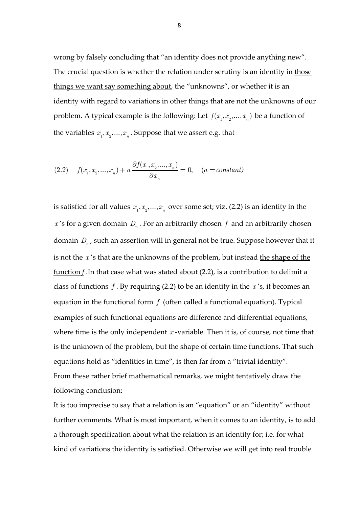wrong by falsely concluding that "an identity does not provide anything new". The crucial question is whether the relation under scrutiny is an identity in those things we want say something about, the "unknowns", or whether it is an identity with regard to variations in other things that are not the unknowns of our problem. A typical example is the following: Let  $f(x_1, x_2, ..., x_n)$  be a function of the variables  $x_1, x_2, ..., x_n$ . Suppose that we assert e.g. that

(2.2) 
$$
f(x_1, x_2,...,x_n) + a \frac{\partial f(x_1, x_2,...,x_n)}{\partial x_n} = 0
$$
,  $(a = constant)$ 

is satisfied for all values  $x_1, x_2, ..., x_n$  over some set; viz. (2.2) is an identity in the  $x$ 's for a given domain  $D_n$ . For an arbitrarily chosen  $f$  and an arbitrarily chosen domain  $D_n$ , such an assertion will in general not be true. Suppose however that it is not the *x* 's that are the unknowns of the problem, but instead the shape of the function *f* .In that case what was stated about (2.2), is a contribution to delimit a class of functions *f* . By requiring (2.2) to be an identity in the *x* 's, it becomes an equation in the functional form *f* (often called a functional equation). Typical examples of such functional equations are difference and differential equations, where time is the only independent  $x$ -variable. Then it is, of course, not time that is the unknown of the problem, but the shape of certain time functions. That such equations hold as "identities in time", is then far from a "trivial identity". From these rather brief mathematical remarks, we might tentatively draw the following conclusion:

It is too imprecise to say that a relation is an "equation" or an "identity" without further comments. What is most important, when it comes to an identity, is to add a thorough specification about what the relation is an identity for; i.e. for what kind of variations the identity is satisfied. Otherwise we will get into real trouble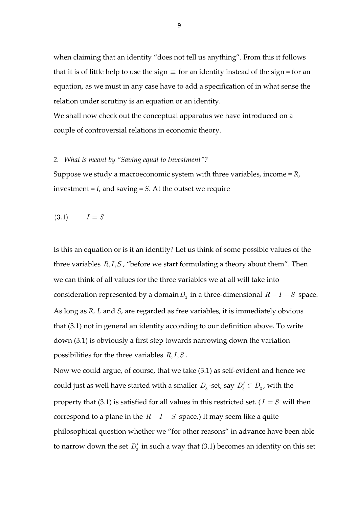when claiming that an identity "does not tell us anything". From this it follows that it is of little help to use the sign  $\equiv$  for an identity instead of the sign = for an equation, as we must in any case have to add a specification of in what sense the relation under scrutiny is an equation or an identity.

We shall now check out the conceptual apparatus we have introduced on a couple of controversial relations in economic theory.

#### *2. What is meant by "Saving equal to Investment"?*

Suppose we study a macroeconomic system with three variables, income = *R*, investment = *I*, and saving = *S*. At the outset we require

$$
(3.1) \qquad \quad I = S
$$

Is this an equation or is it an identity? Let us think of some possible values of the three variables  $R, I, S$ , "before we start formulating a theory about them". Then we can think of all values for the three variables we at all will take into consideration represented by a domain  $D_3$  in a three-dimensional  $R-I-S$  space. As long as *R, I,* and *S*, are regarded as free variables, it is immediately obvious that (3.1) not in general an identity according to our definition above. To write down (3.1) is obviously a first step towards narrowing down the variation possibilities for the three variables  $R, I, S$ .

Now we could argue, of course, that we take (3.1) as self‐evident and hence we could just as well have started with a smaller  $D_3$ -set, say  $D'_3 \subset D_3$ , with the property that (3.1) is satisfied for all values in this restricted set. ( $I = S$  will then correspond to a plane in the  $R-I-S$  space.) It may seem like a quite philosophical question whether we "for other reasons" in advance have been able to narrow down the set  $D'_3$  in such a way that (3.1) becomes an identity on this set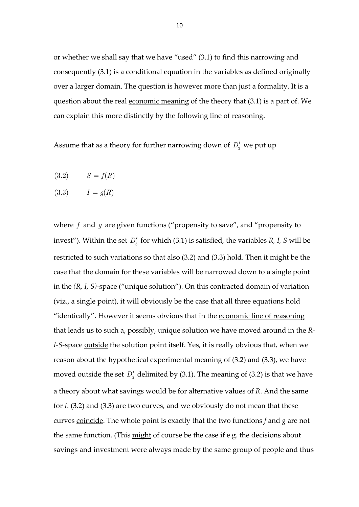or whether we shall say that we have "used" (3.1) to find this narrowing and consequently (3.1) is a conditional equation in the variables as defined originally over a larger domain. The question is however more than just a formality. It is a question about the real economic meaning of the theory that  $(3.1)$  is a part of. We can explain this more distinctly by the following line of reasoning.

Assume that as a theory for further narrowing down of  $D_3'$  we put up

$$
(3.2) \qquad S = f(R)
$$

 $(3.3)$   $I = q(R)$ 

where *f* and *g* are given functions ("propensity to save", and "propensity to invest"). Within the set  $D'_3$  for which (3.1) is satisfied, the variables *R*, *I*, *S* will be restricted to such variations so that also (3.2) and (3.3) hold. Then it might be the case that the domain for these variables will be narrowed down to a single point in the *(R, I, S)*‐space ("unique solution"). On this contracted domain of variation (viz., a single point), it will obviously be the case that all three equations hold "identically". However it seems obvious that in the economic line of reasoning that leads us to such a, possibly, unique solution we have moved around in the *R‐ I*-*S*-space <u>outside</u> the solution point itself. Yes, it is really obvious that, when we reason about the hypothetical experimental meaning of (3.2) and (3.3), we have moved outside the set  $D'_3$  delimited by (3.1). The meaning of (3.2) is that we have a theory about what savings would be for alternative values of *R*. And the same for *I*. (3.2) and (3.3) are two curves, and we obviously do not mean that these curves coincide. The whole point is exactly that the two functions *f* and *g* are not the same function. (This might of course be the case if e.g. the decisions about savings and investment were always made by the same group of people and thus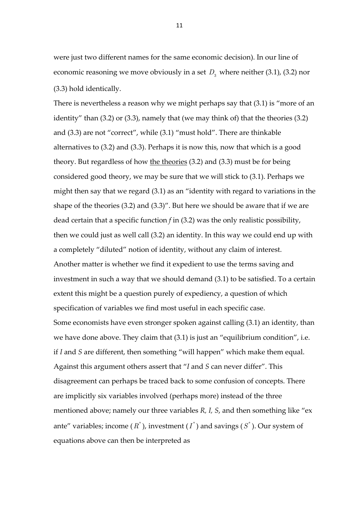were just two different names for the same economic decision). In our line of economic reasoning we move obviously in a set  $D<sub>3</sub>$  where neither (3.1), (3.2) nor (3.3) hold identically.

There is nevertheless a reason why we might perhaps say that (3.1) is "more of an identity" than (3.2) or (3.3), namely that (we may think of) that the theories (3.2) and (3.3) are not "correct", while (3.1) "must hold". There are thinkable alternatives to (3.2) and (3.3). Perhaps it is now this, now that which is a good theory. But regardless of how the theories (3.2) and (3.3) must be for being considered good theory, we may be sure that we will stick to (3.1). Perhaps we might then say that we regard (3.1) as an "identity with regard to variations in the shape of the theories (3.2) and (3.3)". But here we should be aware that if we are dead certain that a specific function *f* in (3.2) was the only realistic possibility, then we could just as well call (3.2) an identity. In this way we could end up with a completely "diluted" notion of identity, without any claim of interest. Another matter is whether we find it expedient to use the terms saving and investment in such a way that we should demand (3.1) to be satisfied. To a certain extent this might be a question purely of expediency, a question of which specification of variables we find most useful in each specific case. Some economists have even stronger spoken against calling (3.1) an identity, than we have done above. They claim that (3.1) is just an "equilibrium condition", i.e. if *I* and *S* are different, then something "will happen" which make them equal. Against this argument others assert that "*I* and *S* can never differ". This disagreement can perhaps be traced back to some confusion of concepts. There are implicitly six variables involved (perhaps more) instead of the three mentioned above; namely our three variables *R, I, S*, and then something like "ex ante" variables; income  $(R^*)$ , investment  $(I^*)$  and savings  $(S^*)$ . Our system of equations above can then be interpreted as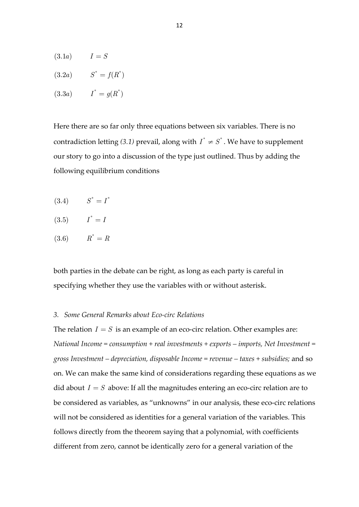- $(3.1a)$   $I = S$
- $(3.2a)$   $S^* = f(R^*)$
- $(3.3a)$   $I^* = g(R^*)$

Here there are so far only three equations between six variables. There is no contradiction letting (3.1) prevail, along with  $I^* \neq S^*$ . We have to supplement our story to go into a discussion of the type just outlined. Thus by adding the following equilibrium conditions

 $(3.4)$   $S^* = I^*$ 

$$
(3.5) \qquad I^* = I
$$

$$
(3.6) \qquad R^* = R
$$

both parties in the debate can be right, as long as each party is careful in specifying whether they use the variables with or without asterisk.

### *3. Some General Remarks about Eco‐circ Relations*

The relation  $I = S$  is an example of an eco-circ relation. Other examples are: *National Income = consumption + real investments + exports – imports, Net Investment = gross Investment – depreciation, disposable Income = revenue – taxes + subsidies;* and so on. We can make the same kind of considerations regarding these equations as we did about  $I = S$  above: If all the magnitudes entering an eco-circ relation are to be considered as variables, as "unknowns" in our analysis, these eco-circ relations will not be considered as identities for a general variation of the variables. This follows directly from the theorem saying that a polynomial, with coefficients different from zero, cannot be identically zero for a general variation of the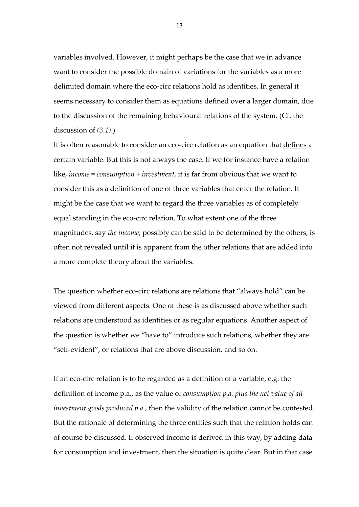variables involved. However, it might perhaps be the case that we in advance want to consider the possible domain of variations for the variables as a more delimited domain where the eco‐circ relations hold as identities. In general it seems necessary to consider them as equations defined over a larger domain, due to the discussion of the remaining behavioural relations of the system. (Cf. the discussion of *(3.1)*.)

It is often reasonable to consider an eco-circ relation as an equation that defines a certain variable. But this is not always the case. If we for instance have a relation like, *income = consumption + investment*, it is far from obvious that we want to consider this as a definition of one of three variables that enter the relation. It might be the case that we want to regard the three variables as of completely equal standing in the eco‐circ relation. To what extent one of the three magnitudes, say *the income*, possibly can be said to be determined by the others, is often not revealed until it is apparent from the other relations that are added into a more complete theory about the variables.

The question whether eco-circ relations are relations that "always hold" can be viewed from different aspects. One of these is as discussed above whether such relations are understood as identities or as regular equations. Another aspect of the question is whether we "have to" introduce such relations, whether they are "self‐evident", or relations that are above discussion, and so on.

If an eco-circ relation is to be regarded as a definition of a variable, e.g. the definition of income p.a., as the value of *consumption p.a. plus the net value of all investment goods produced p.a.*, then the validity of the relation cannot be contested. But the rationale of determining the three entities such that the relation holds can of course be discussed. If observed income is derived in this way, by adding data for consumption and investment, then the situation is quite clear. But in that case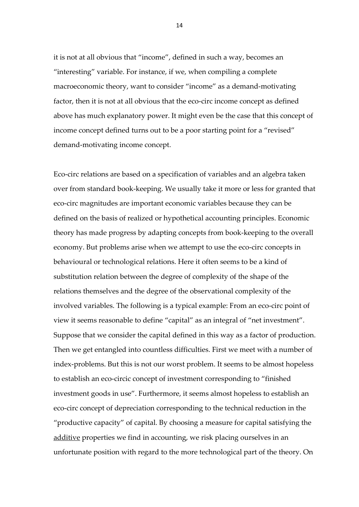it is not at all obvious that "income", defined in such a way, becomes an "interesting" variable. For instance, if we, when compiling a complete macroeconomic theory, want to consider "income" as a demand‐motivating factor, then it is not at all obvious that the eco-circ income concept as defined above has much explanatory power. It might even be the case that this concept of income concept defined turns out to be a poor starting point for a "revised" demand‐motivating income concept.

Eco‐circ relations are based on a specification of variables and an algebra taken over from standard book‐keeping. We usually take it more or less for granted that eco‐circ magnitudes are important economic variables because they can be defined on the basis of realized or hypothetical accounting principles. Economic theory has made progress by adapting concepts from book‐keeping to the overall economy. But problems arise when we attempt to use the eco-circ concepts in behavioural or technological relations. Here it often seems to be a kind of substitution relation between the degree of complexity of the shape of the relations themselves and the degree of the observational complexity of the involved variables. The following is a typical example: From an eco-circ point of view it seems reasonable to define "capital" as an integral of "net investment". Suppose that we consider the capital defined in this way as a factor of production. Then we get entangled into countless difficulties. First we meet with a number of index-problems. But this is not our worst problem. It seems to be almost hopeless to establish an eco-circic concept of investment corresponding to "finished investment goods in use". Furthermore, it seems almost hopeless to establish an eco‐circ concept of depreciation corresponding to the technical reduction in the "productive capacity" of capital. By choosing a measure for capital satisfying the additive properties we find in accounting, we risk placing ourselves in an unfortunate position with regard to the more technological part of the theory. On